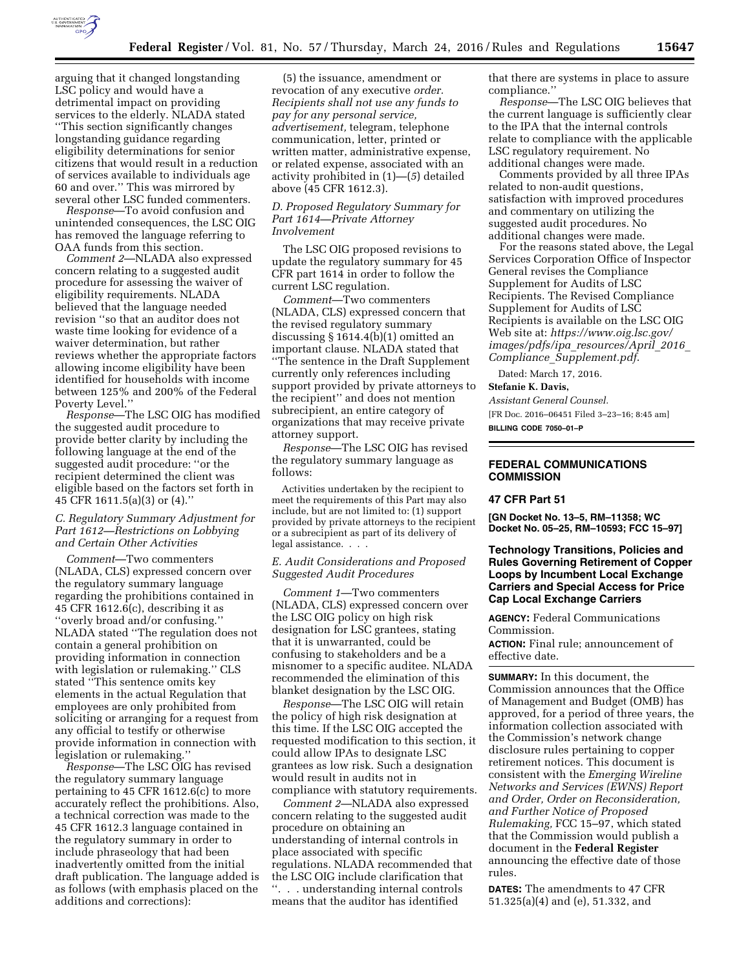

arguing that it changed longstanding LSC policy and would have a detrimental impact on providing services to the elderly. NLADA stated ''This section significantly changes longstanding guidance regarding eligibility determinations for senior citizens that would result in a reduction of services available to individuals age 60 and over.'' This was mirrored by several other LSC funded commenters.

*Response*—To avoid confusion and unintended consequences, the LSC OIG has removed the language referring to OAA funds from this section.

*Comment 2*—NLADA also expressed concern relating to a suggested audit procedure for assessing the waiver of eligibility requirements. NLADA believed that the language needed revision ''so that an auditor does not waste time looking for evidence of a waiver determination, but rather reviews whether the appropriate factors allowing income eligibility have been identified for households with income between 125% and 200% of the Federal Poverty Level.''

*Response*—The LSC OIG has modified the suggested audit procedure to provide better clarity by including the following language at the end of the suggested audit procedure: ''or the recipient determined the client was eligible based on the factors set forth in 45 CFR 1611.5(a)(3) or (4).''

# *C. Regulatory Summary Adjustment for Part 1612—Restrictions on Lobbying and Certain Other Activities*

*Comment*—Two commenters (NLADA, CLS) expressed concern over the regulatory summary language regarding the prohibitions contained in 45 CFR 1612.6(c), describing it as ''overly broad and/or confusing.'' NLADA stated ''The regulation does not contain a general prohibition on providing information in connection with legislation or rulemaking.'' CLS stated ''This sentence omits key elements in the actual Regulation that employees are only prohibited from soliciting or arranging for a request from any official to testify or otherwise provide information in connection with legislation or rulemaking.''

*Response*—The LSC OIG has revised the regulatory summary language pertaining to 45 CFR 1612.6(c) to more accurately reflect the prohibitions. Also, a technical correction was made to the 45 CFR 1612.3 language contained in the regulatory summary in order to include phraseology that had been inadvertently omitted from the initial draft publication. The language added is as follows (with emphasis placed on the additions and corrections):

(5) the issuance, amendment or revocation of any executive *order. Recipients shall not use any funds to pay for any personal service, advertisement,* telegram, telephone communication, letter, printed or written matter, administrative expense, or related expense, associated with an activity prohibited in (1)—(*5*) detailed above (45 CFR 1612.3).

### *D. Proposed Regulatory Summary for Part 1614—Private Attorney Involvement*

The LSC OIG proposed revisions to update the regulatory summary for 45 CFR part 1614 in order to follow the current LSC regulation.

*Comment*—Two commenters (NLADA, CLS) expressed concern that the revised regulatory summary discussing § 1614.4(b)(1) omitted an important clause. NLADA stated that ''The sentence in the Draft Supplement currently only references including support provided by private attorneys to the recipient'' and does not mention subrecipient, an entire category of organizations that may receive private attorney support.

*Response*—The LSC OIG has revised the regulatory summary language as follows:

Activities undertaken by the recipient to meet the requirements of this Part may also include, but are not limited to: (1) support provided by private attorneys to the recipient or a subrecipient as part of its delivery of legal assistance. . . .

### *E. Audit Considerations and Proposed Suggested Audit Procedures*

*Comment 1*—Two commenters (NLADA, CLS) expressed concern over the LSC OIG policy on high risk designation for LSC grantees, stating that it is unwarranted, could be confusing to stakeholders and be a misnomer to a specific auditee. NLADA recommended the elimination of this blanket designation by the LSC OIG.

*Response*—The LSC OIG will retain the policy of high risk designation at this time. If the LSC OIG accepted the requested modification to this section, it could allow IPAs to designate LSC grantees as low risk. Such a designation would result in audits not in compliance with statutory requirements.

*Comment 2*—NLADA also expressed concern relating to the suggested audit procedure on obtaining an understanding of internal controls in place associated with specific regulations. NLADA recommended that the LSC OIG include clarification that ''. . . understanding internal controls means that the auditor has identified

that there are systems in place to assure compliance.''

*Response*—The LSC OIG believes that the current language is sufficiently clear to the IPA that the internal controls relate to compliance with the applicable LSC regulatory requirement. No additional changes were made.

Comments provided by all three IPAs related to non-audit questions, satisfaction with improved procedures and commentary on utilizing the suggested audit procedures. No additional changes were made.

For the reasons stated above, the Legal Services Corporation Office of Inspector General revises the Compliance Supplement for Audits of LSC Recipients. The Revised Compliance Supplement for Audits of LSC Recipients is available on the LSC OIG Web site at: *[https://www.oig.lsc.gov/](https://www.oig.lsc.gov/images/pdfs/ipa_resources/April_2016_Compliance_Supplement.pdf) [images/pdfs/ipa](https://www.oig.lsc.gov/images/pdfs/ipa_resources/April_2016_Compliance_Supplement.pdf)*\_*resources/April*\_*2016*\_ *Compliance*\_*[Supplement.pdf](https://www.oig.lsc.gov/images/pdfs/ipa_resources/April_2016_Compliance_Supplement.pdf)*.

Dated: March 17, 2016.

**Stefanie K. Davis,** 

*Assistant General Counsel.* 

[FR Doc. 2016–06451 Filed 3–23–16; 8:45 am] **BILLING CODE 7050–01–P** 

# **FEDERAL COMMUNICATIONS COMMISSION**

### **47 CFR Part 51**

**[GN Docket No. 13–5, RM–11358; WC Docket No. 05–25, RM–10593; FCC 15–97]** 

# **Technology Transitions, Policies and Rules Governing Retirement of Copper Loops by Incumbent Local Exchange Carriers and Special Access for Price Cap Local Exchange Carriers**

**AGENCY:** Federal Communications Commission.

**ACTION:** Final rule; announcement of effective date.

**SUMMARY:** In this document, the Commission announces that the Office of Management and Budget (OMB) has approved, for a period of three years, the information collection associated with the Commission's network change disclosure rules pertaining to copper retirement notices. This document is consistent with the *Emerging Wireline Networks and Services (EWNS) Report and Order, Order on Reconsideration, and Further Notice of Proposed Rulemaking,* FCC 15–97, which stated that the Commission would publish a document in the **Federal Register**  announcing the effective date of those rules.

**DATES:** The amendments to 47 CFR 51.325(a)(4) and (e), 51.332, and